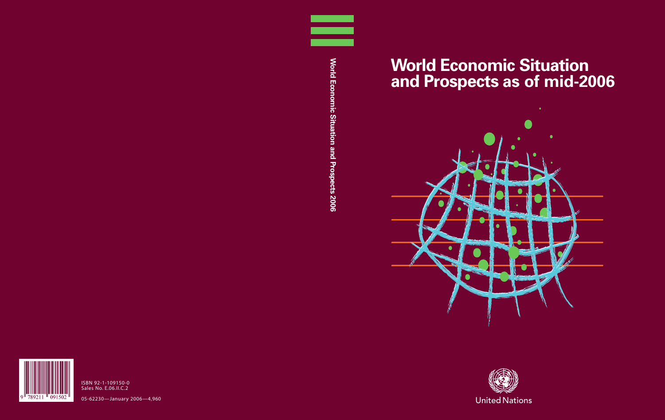# **World Economic Situation and Prospects as of mid-2006**



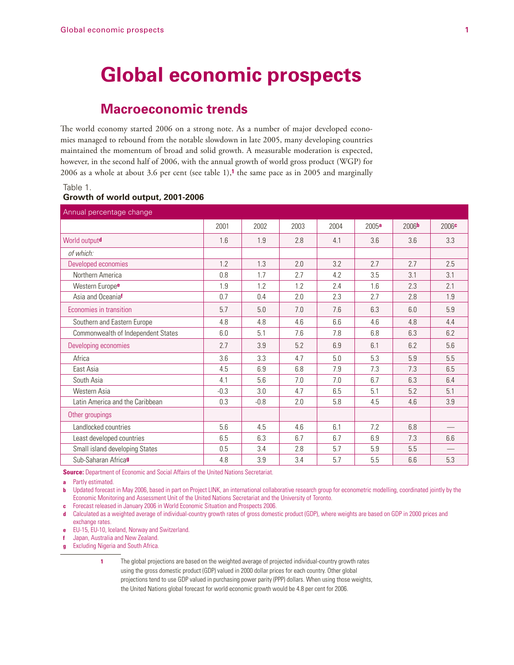## **Global economic prospects**

## **Macroeconomic trends**

The world economy started 2006 on a strong note. As a number of major developed economies managed to rebound from the notable slowdown in late 2005, many developing countries maintained the momentum of broad and solid growth. A measurable moderation is expected, however, in the second half of 2006, with the annual growth of world gross product (WGP) for 2006 as a whole at about 3.6 per cent (see table 1),**1** the same pace as in 2005 and marginally

Table 1. **Growth of world output, 2001-2006**

| Annual percentage change           |        |        |      |      |       |                   |                   |  |
|------------------------------------|--------|--------|------|------|-------|-------------------|-------------------|--|
|                                    | 2001   | 2002   | 2003 | 2004 | 2005a | 2006 <sup>b</sup> | 2006 <sup>c</sup> |  |
| World outputd                      | 1.6    | 1.9    | 2.8  | 4.1  | 3.6   | 3.6               | 3.3               |  |
| of which:                          |        |        |      |      |       |                   |                   |  |
| Developed economies                | 1.2    | 1.3    | 2.0  | 3.2  | 2.7   | 2.7               | 2.5               |  |
| Northern America                   | 0.8    | 1.7    | 2.7  | 4.2  | 3.5   | 3.1               | 3.1               |  |
| Western Europe <sup>e</sup>        | 1.9    | 1.2    | 1.2  | 2.4  | 1.6   | 2.3               | 2.1               |  |
| Asia and Oceaniaf                  | 0.7    | 0.4    | 2.0  | 2.3  | 2.7   | 2.8               | 1.9               |  |
| Economies in transition            | 5.7    | 5.0    | 7.0  | 7.6  | 6.3   | 6.0               | 5.9               |  |
| Southern and Eastern Europe        | 4.8    | 4.8    | 4.6  | 6.6  | 4.6   | 4.8               | 4.4               |  |
| Commonwealth of Independent States | 6.0    | 5.1    | 7.6  | 7.8  | 6.8   | 6.3               | 6.2               |  |
| Developing economies               | 2.7    | 3.9    | 5.2  | 6.9  | 6.1   | 6.2               | 5.6               |  |
| Africa                             | 3.6    | 3.3    | 4.7  | 5.0  | 5.3   | 5.9               | 5.5               |  |
| East Asia                          | 4.5    | 6.9    | 6.8  | 7.9  | 7.3   | 7.3               | 6.5               |  |
| South Asia                         | 4.1    | 5.6    | 7.0  | 7.0  | 6.7   | 6.3               | 6.4               |  |
| Western Asia                       | $-0.3$ | 3.0    | 4.7  | 6.5  | 5.1   | 5.2               | 5.1               |  |
| Latin America and the Caribbean    | 0.3    | $-0.8$ | 2.0  | 5.8  | 4.5   | 4.6               | 3.9               |  |
| Other groupings                    |        |        |      |      |       |                   |                   |  |
| Landlocked countries               | 5.6    | 4.5    | 4.6  | 6.1  | 7.2   | 6.8               |                   |  |
| Least developed countries          | 6.5    | 6.3    | 6.7  | 6.7  | 6.9   | 7.3               | 6.6               |  |
| Small island developing States     | 0.5    | 3.4    | 2.8  | 5.7  | 5.9   | 5.5               |                   |  |
| Sub-Saharan Africa9                | 4.8    | 3.9    | 3.4  | 5.7  | 5.5   | 6.6               | 5.3               |  |

**Source:** Department of Economic and Social Affairs of the United Nations Secretariat.

**a** Partly estimated.

**b** Updated forecast in May 2006, based in part on Project LINK, an international collaborative research group for econometric modelling, coordinated jointly by the Economic Monitoring and Assessment Unit of the United Nations Secretariat and the University of Toronto.

**c** Forecast released in January 2006 in World Economic Situation and Prospects 2006.

**d** Calculated as a weighted average of individual-country growth rates of gross domestic product (GDP), where weights are based on GDP in 2000 prices and exchange rates.

**e** EU-15, EU-10, Iceland, Norway and Switzerland.

**f** Japan, Australia and New Zealand.

**g** Excluding Nigeria and South Africa.

**1** The global projections are based on the weighted average of projected individual-country growth rates using the gross domestic product (GDP) valued in 2000 dollar prices for each country. Other global projections tend to use GDP valued in purchasing power parity (PPP) dollars. When using those weights, the United Nations global forecast for world economic growth would be 4.8 per cent for 2006.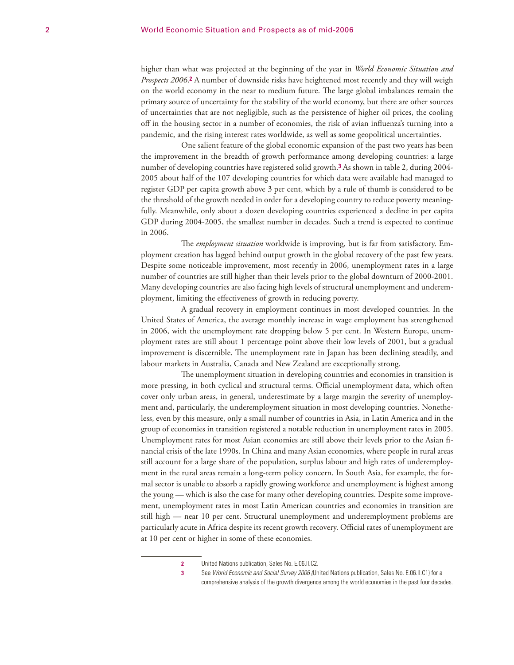higher than what was projected at the beginning of the year in *World Economic Situation and Prospects 2006*.**2** A number of downside risks have heightened most recently and they will weigh on the world economy in the near to medium future. The large global imbalances remain the primary source of uncertainty for the stability of the world economy, but there are other sources of uncertainties that are not negligible, such as the persistence of higher oil prices, the cooling off in the housing sector in a number of economies, the risk of avian influenza's turning into a pandemic, and the rising interest rates worldwide, as well as some geopolitical uncertainties.

One salient feature of the global economic expansion of the past two years has been the improvement in the breadth of growth performance among developing countries: a large number of developing countries have registered solid growth.**3** As shown in table 2, during 2004- 2005 about half of the 107 developing countries for which data were available had managed to register GDP per capita growth above 3 per cent, which by a rule of thumb is considered to be the threshold of the growth needed in order for a developing country to reduce poverty meaningfully. Meanwhile, only about a dozen developing countries experienced a decline in per capita GDP during 2004-2005, the smallest number in decades. Such a trend is expected to continue in 2006.

The *employment situation* worldwide is improving, but is far from satisfactory. Employment creation has lagged behind output growth in the global recovery of the past few years. Despite some noticeable improvement, most recently in 2006, unemployment rates in a large number of countries are still higher than their levels prior to the global downturn of 2000-2001. Many developing countries are also facing high levels of structural unemployment and underemployment, limiting the effectiveness of growth in reducing poverty.

A gradual recovery in employment continues in most developed countries. In the United States of America, the average monthly increase in wage employment has strengthened in 2006, with the unemployment rate dropping below 5 per cent. In Western Europe, unemployment rates are still about 1 percentage point above their low levels of 2001, but a gradual improvement is discernible. The unemployment rate in Japan has been declining steadily, and labour markets in Australia, Canada and New Zealand are exceptionally strong.

The unemployment situation in developing countries and economies in transition is more pressing, in both cyclical and structural terms. Official unemployment data, which often cover only urban areas, in general, underestimate by a large margin the severity of unemployment and, particularly, the underemployment situation in most developing countries. Nonetheless, even by this measure, only a small number of countries in Asia, in Latin America and in the group of economies in transition registered a notable reduction in unemployment rates in 2005. Unemployment rates for most Asian economies are still above their levels prior to the Asian financial crisis of the late 1990s. In China and many Asian economies, where people in rural areas still account for a large share of the population, surplus labour and high rates of underemployment in the rural areas remain a long-term policy concern. In South Asia, for example, the formal sector is unable to absorb a rapidly growing workforce and unemployment is highest among the young — which is also the case for many other developing countries. Despite some improvement, unemployment rates in most Latin American countries and economies in transition are still high — near 10 per cent. Structural unemployment and underemployment problems are particularly acute in Africa despite its recent growth recovery. Official rates of unemployment are at 10 per cent or higher in some of these economies.

**<sup>2</sup>** United Nations publication, Sales No. E.06.II.C2.

**<sup>3</sup>** See *World Economic and Social Survey 2006 (*United Nations publication, Sales No. E.06.II.C1) for a comprehensive analysis of the growth divergence among the world economies in the past four decades.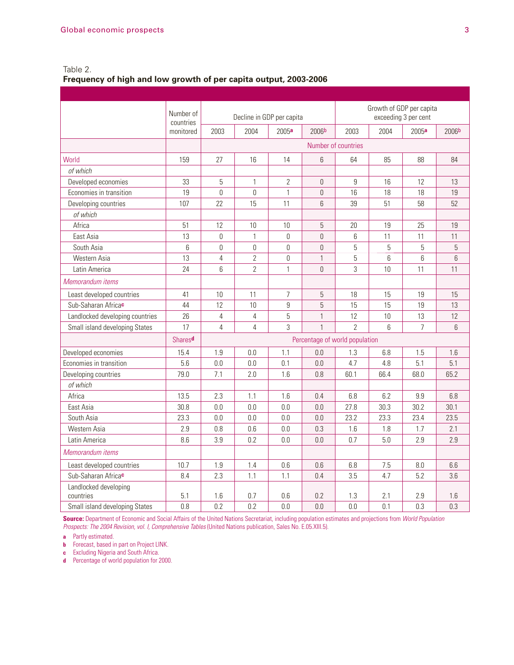Table 2. **Frequency of high and low growth of per capita output, 2003-2006**

|                                    | Number of<br>countries | Decline in GDP per capita |                |                  | Growth of GDP per capita<br>exceeding 3 per cent |                |      |                |       |
|------------------------------------|------------------------|---------------------------|----------------|------------------|--------------------------------------------------|----------------|------|----------------|-------|
|                                    | monitored              | 2003                      | 2004           | 2005a            | 2006b                                            | 2003           | 2004 | 2005a          | 2006b |
|                                    |                        | Number of countries       |                |                  |                                                  |                |      |                |       |
| World                              | 159                    | 27                        | 16             | 14               | 6                                                | 64             | 85   | 88             | 84    |
| of which                           |                        |                           |                |                  |                                                  |                |      |                |       |
| Developed economies                | 33                     | 5                         | $\mathbf{1}$   | $\overline{2}$   | 0                                                | 9              | 16   | 12             | 13    |
| Economies in transition            | 19                     | $\boldsymbol{0}$          | $\overline{0}$ | $\mathbf{1}$     | 0                                                | 16             | 18   | 18             | 19    |
| Developing countries               | 107                    | 22                        | 15             | 11               | 6                                                | 39             | 51   | 58             | 52    |
| of which                           |                        |                           |                |                  |                                                  |                |      |                |       |
| Africa                             | 51                     | 12                        | 10             | 10               | 5                                                | 20             | 19   | 25             | 19    |
| East Asia                          | 13                     | $\mathbf{0}$              | $\mathbf{1}$   | $\mathbf 0$      | 0                                                | 6              | 11   | 11             | 11    |
| South Asia                         | 6                      | $\theta$                  | $\Omega$       | $\theta$         | $\overline{0}$                                   | 5              | 5    | 5              | 5     |
| Western Asia                       | 13                     | $\overline{4}$            | $\overline{2}$ | $\mathbf{0}$     | $\mathbf{1}$                                     | 5              | 6    | 6              | 6     |
| Latin America                      | 24                     | 6                         | $\overline{2}$ | $\mathbf{1}$     | 0                                                | 3              | 10   | 11             | 11    |
| Memorandum <i>items</i>            |                        |                           |                |                  |                                                  |                |      |                |       |
| Least developed countries          | 41                     | 10                        | 11             | $\overline{7}$   | 5                                                | 18             | 15   | 19             | 15    |
| Sub-Saharan Africa <sup>c</sup>    | 44                     | 12                        | 10             | $\boldsymbol{9}$ | 5                                                | 15             | 15   | 19             | 13    |
| Landlocked developing countries    | 26                     | $\overline{4}$            | 4              | 5                | $\mathbf{1}$                                     | 12             | 10   | 13             | 12    |
| Small island developing States     | 17                     | $\overline{4}$            | 4              | 3                | $\mathbf{1}$                                     | $\overline{2}$ | 6    | $\overline{7}$ | 6     |
|                                    | Sharesd                |                           |                |                  | Percentage of world population                   |                |      |                |       |
| Developed economies                | 15.4                   | 1.9                       | 0.0            | 1.1              | 0.0                                              | 1.3            | 6.8  | 1.5            | 1.6   |
| Economies in transition            | 5.6                    | 0.0                       | 0.0            | 0.1              | 0.0                                              | 4.7            | 4.8  | 5.1            | 5.1   |
| Developing countries               | 79.0                   | 7.1                       | 2.0            | 1.6              | 0.8                                              | 60.1           | 66.4 | 68.0           | 65.2  |
| of which                           |                        |                           |                |                  |                                                  |                |      |                |       |
| Africa                             | 13.5                   | 2.3                       | 1.1            | 1.6              | 0.4                                              | 6.8            | 6.2  | 9.9            | 6.8   |
| East Asia                          | 30.8                   | 0.0                       | 0.0            | 0.0              | 0.0                                              | 27.8           | 30.3 | 30.2           | 30.1  |
| South Asia                         | 23.3                   | 0.0                       | 0.0            | 0.0              | 0.0                                              | 23.2           | 23.3 | 23.4           | 23.5  |
| Western Asia                       | 2.9                    | 0.8                       | 0.6            | 0.0              | 0.3                                              | 1.6            | 1.8  | 1.7            | 2.1   |
| Latin America                      | 8.6                    | 3.9                       | 0.2            | 0.0              | 0.0                                              | 0.7            | 5.0  | 2.9            | 2.9   |
| Memorandum items                   |                        |                           |                |                  |                                                  |                |      |                |       |
| Least developed countries          | 10.7                   | 1.9                       | 1.4            | 0.6              | 0.6                                              | 6.8            | 7.5  | 8.0            | 6.6   |
| Sub-Saharan Africac                | 8.4                    | 2.3                       | 1.1            | 1.1              | 0.4                                              | 3.5            | 4.7  | 5.2            | 3.6   |
| Landlocked developing<br>countries | 5.1                    | 1.6                       | 0.7            | 0.6              | 0.2                                              | 1.3            | 2.1  | 2.9            | 1.6   |
| Small island developing States     | 0.8                    | 0.2                       | 0.2            | 0.0              | 0.0                                              | 0.0            | 0.1  | 0.3            | 0.3   |
|                                    |                        |                           |                |                  |                                                  |                |      |                |       |

**Source:** Department of Economic and Social Affairs of the United Nations Secretariat, including population estimates and projections from *World Population Prospects: The 2004 Revision, vol. I, Comprehensive Tables* (United Nations publication, Sales No. E.05.XIII.5).

**a** Partly estimated.

**b** Forecast, based in part on Project LINK.

**c** Excluding Nigeria and South Africa.

**d** Percentage of world population for 2000.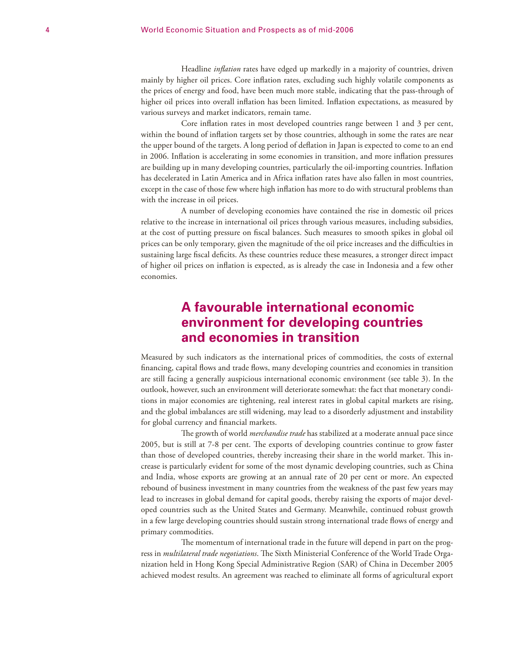Headline *inflation* rates have edged up markedly in a majority of countries, driven mainly by higher oil prices. Core inflation rates, excluding such highly volatile components as the prices of energy and food, have been much more stable, indicating that the pass-through of higher oil prices into overall inflation has been limited. Inflation expectations, as measured by various surveys and market indicators, remain tame.

Core inflation rates in most developed countries range between 1 and 3 per cent, within the bound of inflation targets set by those countries, although in some the rates are near the upper bound of the targets. A long period of deflation in Japan is expected to come to an end in 2006. Inflation is accelerating in some economies in transition, and more inflation pressures are building up in many developing countries, particularly the oil-importing countries. Inflation has decelerated in Latin America and in Africa inflation rates have also fallen in most countries, except in the case of those few where high inflation has more to do with structural problems than with the increase in oil prices.

A number of developing economies have contained the rise in domestic oil prices relative to the increase in international oil prices through various measures, including subsidies, at the cost of putting pressure on fiscal balances. Such measures to smooth spikes in global oil prices can be only temporary, given the magnitude of the oil price increases and the difficulties in sustaining large fiscal deficits. As these countries reduce these measures, a stronger direct impact of higher oil prices on inflation is expected, as is already the case in Indonesia and a few other economies.

## **A favourable international economic environment for developing countries and economies in transition**

Measured by such indicators as the international prices of commodities, the costs of external financing, capital flows and trade flows, many developing countries and economies in transition are still facing a generally auspicious international economic environment (see table 3). In the outlook, however, such an environment will deteriorate somewhat: the fact that monetary conditions in major economies are tightening, real interest rates in global capital markets are rising, and the global imbalances are still widening, may lead to a disorderly adjustment and instability for global currency and financial markets.

The growth of world *merchandise trade* has stabilized at a moderate annual pace since 2005, but is still at 7-8 per cent. The exports of developing countries continue to grow faster than those of developed countries, thereby increasing their share in the world market. This increase is particularly evident for some of the most dynamic developing countries, such as China and India, whose exports are growing at an annual rate of 20 per cent or more. An expected rebound of business investment in many countries from the weakness of the past few years may lead to increases in global demand for capital goods, thereby raising the exports of major developed countries such as the United States and Germany. Meanwhile, continued robust growth in a few large developing countries should sustain strong international trade flows of energy and primary commodities.

The momentum of international trade in the future will depend in part on the progress in *multilateral trade negotiations*. The Sixth Ministerial Conference of the World Trade Organization held in Hong Kong Special Administrative Region (SAR) of China in December 2005 achieved modest results. An agreement was reached to eliminate all forms of agricultural export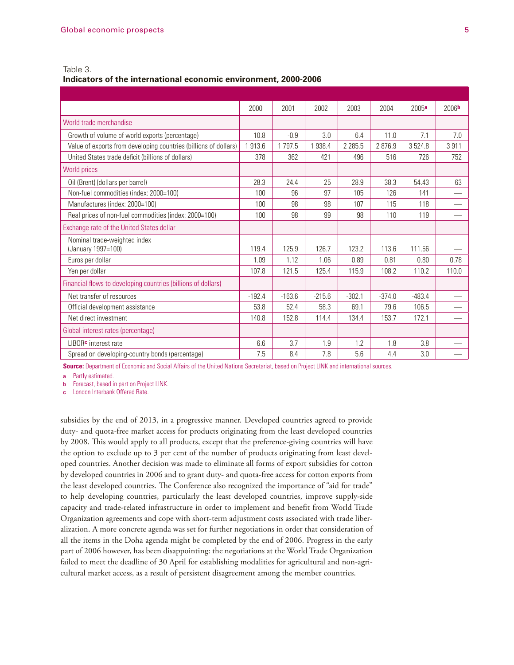| able |  |  |
|------|--|--|
|      |  |  |

#### **Indicators of the international economic environment, 2000-2006**

|                                                                  | 2000     | 2001     | 2002     | 2003       | 2004     | 2005a    | 2006 <sup>b</sup> |
|------------------------------------------------------------------|----------|----------|----------|------------|----------|----------|-------------------|
| World trade merchandise                                          |          |          |          |            |          |          |                   |
| Growth of volume of world exports (percentage)                   | 10.8     | $-0.9$   | 3.0      | 6.4        | 11.0     | 7.1      | 7.0               |
| Value of exports from developing countries (billions of dollars) | 1913.6   | 1797.5   | 1938.4   | 2 2 8 5 .5 | 2876.9   | 3524.8   | 3911              |
| United States trade deficit (billions of dollars)                | 378      | 362      | 421      | 496        | 516      | 726      | 752               |
| <b>World prices</b>                                              |          |          |          |            |          |          |                   |
| Oil (Brent) (dollars per barrel)                                 | 28.3     | 24.4     | 25       | 28.9       | 38.3     | 54.43    | 63                |
| Non-fuel commodities (index: 2000=100)                           | 100      | 96       | 97       | 105        | 126      | 141      |                   |
| Manufactures (index: 2000=100)                                   | 100      | 98       | 98       | 107        | 115      | 118      |                   |
| Real prices of non-fuel commodities (index: 2000=100)            | 100      | 98       | 99       | 98         | 110      | 119      |                   |
| Exchange rate of the United States dollar                        |          |          |          |            |          |          |                   |
| Nominal trade-weighted index<br>(January 1997=100)               | 119.4    | 125.9    | 126.7    | 123.2      | 113.6    | 111.56   |                   |
| Euros per dollar                                                 | 1.09     | 1.12     | 1.06     | 0.89       | 0.81     | 0.80     | 0.78              |
| Yen per dollar                                                   | 107.8    | 121.5    | 125.4    | 115.9      | 108.2    | 110.2    | 110.0             |
| Financial flows to developing countries (billions of dollars)    |          |          |          |            |          |          |                   |
| Net transfer of resources                                        | $-192.4$ | $-163.6$ | $-215.6$ | $-302.1$   | $-374.0$ | $-483.4$ |                   |
| Official development assistance                                  | 53.8     | 52.4     | 58.3     | 69.1       | 79.6     | 106.5    |                   |
| Net direct investment                                            | 140.8    | 152.8    | 114.4    | 134.4      | 153.7    | 172.1    |                   |
| Global interest rates (percentage)                               |          |          |          |            |          |          |                   |
| LIBOR <sup>c</sup> interest rate                                 | 6.6      | 3.7      | 1.9      | 1.2        | 1.8      | 3.8      |                   |
| Spread on developing-country bonds (percentage)                  | 7.5      | 8.4      | 7.8      | 5.6        | 4.4      | 3.0      |                   |

**Source:** Department of Economic and Social Affairs of the United Nations Secretariat, based on Project LINK and international sources.

**a** Partly estimated.

**b** Forecast, based in part on Project LINK.

**c** London Interbank Offered Rate.

subsidies by the end of 2013, in a progressive manner. Developed countries agreed to provide duty- and quota-free market access for products originating from the least developed countries by 2008. This would apply to all products, except that the preference-giving countries will have the option to exclude up to 3 per cent of the number of products originating from least developed countries. Another decision was made to eliminate all forms of export subsidies for cotton by developed countries in 2006 and to grant duty- and quota-free access for cotton exports from the least developed countries. The Conference also recognized the importance of "aid for trade" to help developing countries, particularly the least developed countries, improve supply-side capacity and trade-related infrastructure in order to implement and benefi t from World Trade Organization agreements and cope with short-term adjustment costs associated with trade liberalization. A more concrete agenda was set for further negotiations in order that consideration of all the items in the Doha agenda might be completed by the end of 2006. Progress in the early part of 2006 however, has been disappointing: the negotiations at the World Trade Organization failed to meet the deadline of 30 April for establishing modalities for agricultural and non-agricultural market access, as a result of persistent disagreement among the member countries.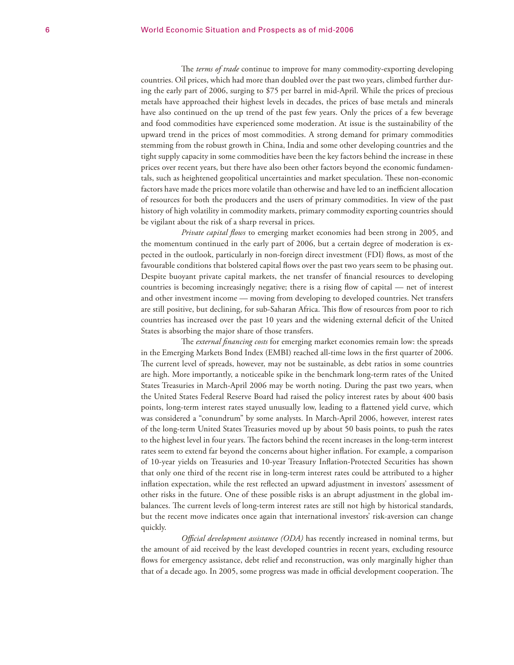The *terms of trade* continue to improve for many commodity-exporting developing countries. Oil prices, which had more than doubled over the past two years, climbed further during the early part of 2006, surging to \$75 per barrel in mid-April. While the prices of precious metals have approached their highest levels in decades, the prices of base metals and minerals have also continued on the up trend of the past few years. Only the prices of a few beverage and food commodities have experienced some moderation. At issue is the sustainability of the upward trend in the prices of most commodities. A strong demand for primary commodities stemming from the robust growth in China, India and some other developing countries and the tight supply capacity in some commodities have been the key factors behind the increase in these prices over recent years, but there have also been other factors beyond the economic fundamentals, such as heightened geopolitical uncertainties and market speculation. These non-economic factors have made the prices more volatile than otherwise and have led to an inefficient allocation of resources for both the producers and the users of primary commodities. In view of the past history of high volatility in commodity markets, primary commodity exporting countries should be vigilant about the risk of a sharp reversal in prices.

*Private capital flows* to emerging market economies had been strong in 2005, and the momentum continued in the early part of 2006, but a certain degree of moderation is expected in the outlook, particularly in non-foreign direct investment (FDI) flows, as most of the favourable conditions that bolstered capital flows over the past two years seem to be phasing out. Despite buoyant private capital markets, the net transfer of financial resources to developing countries is becoming increasingly negative; there is a rising flow of capital — net of interest and other investment income — moving from developing to developed countries. Net transfers are still positive, but declining, for sub-Saharan Africa. This flow of resources from poor to rich countries has increased over the past 10 years and the widening external deficit of the United States is absorbing the major share of those transfers.

The external financing costs for emerging market economies remain low: the spreads in the Emerging Markets Bond Index (EMBI) reached all-time lows in the first quarter of 2006. The current level of spreads, however, may not be sustainable, as debt ratios in some countries are high. More importantly, a noticeable spike in the benchmark long-term rates of the United States Treasuries in March-April 2006 may be worth noting. During the past two years, when the United States Federal Reserve Board had raised the policy interest rates by about 400 basis points, long-term interest rates stayed unusually low, leading to a flattened yield curve, which was considered a "conundrum" by some analysts. In March-April 2006, however, interest rates of the long-term United States Treasuries moved up by about 50 basis points, to push the rates to the highest level in four years. The factors behind the recent increases in the long-term interest rates seem to extend far beyond the concerns about higher inflation. For example, a comparison of 10-year yields on Treasuries and 10-year Treasury Inflation-Protected Securities has shown that only one third of the recent rise in long-term interest rates could be attributed to a higher inflation expectation, while the rest reflected an upward adjustment in investors' assessment of other risks in the future. One of these possible risks is an abrupt adjustment in the global imbalances. The current levels of long-term interest rates are still not high by historical standards, but the recent move indicates once again that international investors' risk-aversion can change quickly.

*Official development assistance (ODA)* has recently increased in nominal terms, but the amount of aid received by the least developed countries in recent years, excluding resource flows for emergency assistance, debt relief and reconstruction, was only marginally higher than that of a decade ago. In 2005, some progress was made in official development cooperation. The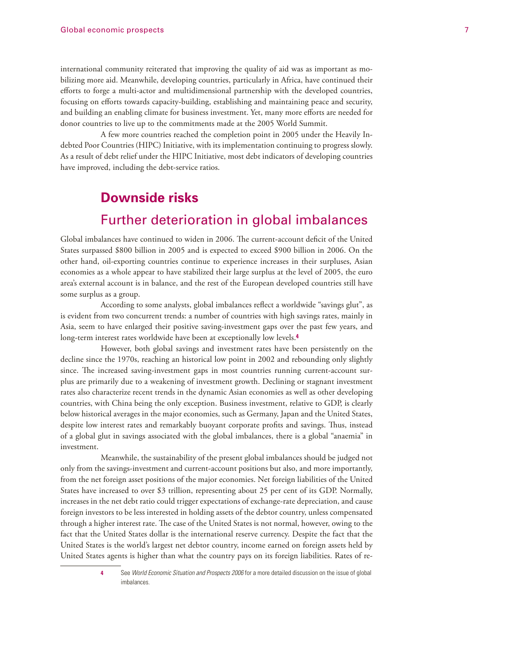international community reiterated that improving the quality of aid was as important as mobilizing more aid. Meanwhile, developing countries, particularly in Africa, have continued their efforts to forge a multi-actor and multidimensional partnership with the developed countries, focusing on efforts towards capacity-building, establishing and maintaining peace and security, and building an enabling climate for business investment. Yet, many more efforts are needed for donor countries to live up to the commitments made at the 2005 World Summit.

A few more countries reached the completion point in 2005 under the Heavily Indebted Poor Countries (HIPC) Initiative, with its implementation continuing to progress slowly. As a result of debt relief under the HIPC Initiative, most debt indicators of developing countries have improved, including the debt-service ratios.

## **Downside risks** Further deterioration in global imbalances

Global imbalances have continued to widen in 2006. The current-account deficit of the United States surpassed \$800 billion in 2005 and is expected to exceed \$900 billion in 2006. On the other hand, oil-exporting countries continue to experience increases in their surpluses, Asian economies as a whole appear to have stabilized their large surplus at the level of 2005, the euro area's external account is in balance, and the rest of the European developed countries still have some surplus as a group.

According to some analysts, global imbalances reflect a worldwide "savings glut", as is evident from two concurrent trends: a number of countries with high savings rates, mainly in Asia, seem to have enlarged their positive saving-investment gaps over the past few years, and long-term interest rates worldwide have been at exceptionally low levels.**<sup>4</sup>**

However, both global savings and investment rates have been persistently on the decline since the 1970s, reaching an historical low point in 2002 and rebounding only slightly since. The increased saving-investment gaps in most countries running current-account surplus are primarily due to a weakening of investment growth. Declining or stagnant investment rates also characterize recent trends in the dynamic Asian economies as well as other developing countries, with China being the only exception. Business investment, relative to GDP, is clearly below historical averages in the major economies, such as Germany, Japan and the United States, despite low interest rates and remarkably buoyant corporate profits and savings. Thus, instead of a global glut in savings associated with the global imbalances, there is a global "anaemia" in investment.

Meanwhile, the sustainability of the present global imbalances should be judged not only from the savings-investment and current-account positions but also, and more importantly, from the net foreign asset positions of the major economies. Net foreign liabilities of the United States have increased to over \$3 trillion, representing about 25 per cent of its GDP. Normally, increases in the net debt ratio could trigger expectations of exchange-rate depreciation, and cause foreign investors to be less interested in holding assets of the debtor country, unless compensated through a higher interest rate. The case of the United States is not normal, however, owing to the fact that the United States dollar is the international reserve currency. Despite the fact that the United States is the world's largest net debtor country, income earned on foreign assets held by United States agents is higher than what the country pays on its foreign liabilities. Rates of re-

**<sup>4</sup>** See *World Economic Situation and Prospects 2006* for a more detailed discussion on the issue of global imbalances.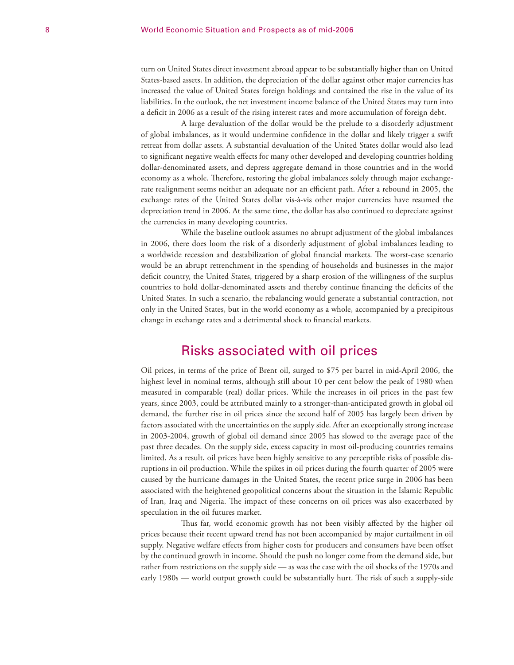turn on United States direct investment abroad appear to be substantially higher than on United States-based assets. In addition, the depreciation of the dollar against other major currencies has increased the value of United States foreign holdings and contained the rise in the value of its liabilities. In the outlook, the net investment income balance of the United States may turn into a deficit in 2006 as a result of the rising interest rates and more accumulation of foreign debt.

A large devaluation of the dollar would be the prelude to a disorderly adjustment of global imbalances, as it would undermine confidence in the dollar and likely trigger a swift retreat from dollar assets. A substantial devaluation of the United States dollar would also lead to significant negative wealth effects for many other developed and developing countries holding dollar-denominated assets, and depress aggregate demand in those countries and in the world economy as a whole. Therefore, restoring the global imbalances solely through major exchangerate realignment seems neither an adequate nor an efficient path. After a rebound in 2005, the exchange rates of the United States dollar vis-à-vis other major currencies have resumed the depreciation trend in 2006. At the same time, the dollar has also continued to depreciate against the currencies in many developing countries.

While the baseline outlook assumes no abrupt adjustment of the global imbalances in 2006, there does loom the risk of a disorderly adjustment of global imbalances leading to a worldwide recession and destabilization of global financial markets. The worst-case scenario would be an abrupt retrenchment in the spending of households and businesses in the major deficit country, the United States, triggered by a sharp erosion of the willingness of the surplus countries to hold dollar-denominated assets and thereby continue financing the deficits of the United States. In such a scenario, the rebalancing would generate a substantial contraction, not only in the United States, but in the world economy as a whole, accompanied by a precipitous change in exchange rates and a detrimental shock to financial markets.

### Risks associated with oil prices

Oil prices, in terms of the price of Brent oil, surged to \$75 per barrel in mid-April 2006, the highest level in nominal terms, although still about 10 per cent below the peak of 1980 when measured in comparable (real) dollar prices. While the increases in oil prices in the past few years, since 2003, could be attributed mainly to a stronger-than-anticipated growth in global oil demand, the further rise in oil prices since the second half of 2005 has largely been driven by factors associated with the uncertainties on the supply side. After an exceptionally strong increase in 2003-2004, growth of global oil demand since 2005 has slowed to the average pace of the past three decades. On the supply side, excess capacity in most oil-producing countries remains limited. As a result, oil prices have been highly sensitive to any perceptible risks of possible disruptions in oil production. While the spikes in oil prices during the fourth quarter of 2005 were caused by the hurricane damages in the United States, the recent price surge in 2006 has been associated with the heightened geopolitical concerns about the situation in the Islamic Republic of Iran, Iraq and Nigeria. The impact of these concerns on oil prices was also exacerbated by speculation in the oil futures market.

Thus far, world economic growth has not been visibly affected by the higher oil prices because their recent upward trend has not been accompanied by major curtailment in oil supply. Negative welfare effects from higher costs for producers and consumers have been offset by the continued growth in income. Should the push no longer come from the demand side, but rather from restrictions on the supply side — as was the case with the oil shocks of the 1970s and early 1980s - world output growth could be substantially hurt. The risk of such a supply-side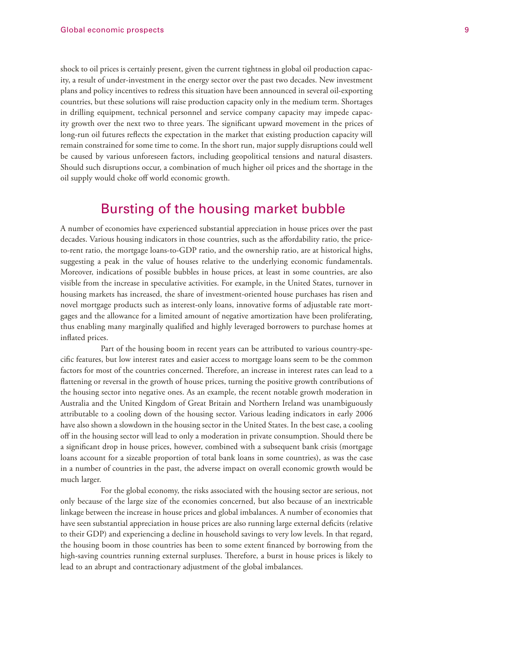#### shock to oil prices is certainly present, given the current tightness in global oil production capacity, a result of under-investment in the energy sector over the past two decades. New investment plans and policy incentives to redress this situation have been announced in several oil-exporting countries, but these solutions will raise production capacity only in the medium term. Shortages in drilling equipment, technical personnel and service company capacity may impede capacity growth over the next two to three years. The significant upward movement in the prices of long-run oil futures reflects the expectation in the market that existing production capacity will remain constrained for some time to come. In the short run, major supply disruptions could well be caused by various unforeseen factors, including geopolitical tensions and natural disasters. Should such disruptions occur, a combination of much higher oil prices and the shortage in the oil supply would choke off world economic growth.

## Bursting of the housing market bubble

A number of economies have experienced substantial appreciation in house prices over the past decades. Various housing indicators in those countries, such as the affordability ratio, the priceto-rent ratio, the mortgage loans-to-GDP ratio, and the ownership ratio, are at historical highs, suggesting a peak in the value of houses relative to the underlying economic fundamentals. Moreover, indications of possible bubbles in house prices, at least in some countries, are also visible from the increase in speculative activities. For example, in the United States, turnover in housing markets has increased, the share of investment-oriented house purchases has risen and novel mortgage products such as interest-only loans, innovative forms of adjustable rate mortgages and the allowance for a limited amount of negative amortization have been proliferating, thus enabling many marginally qualified and highly leveraged borrowers to purchase homes at inflated prices.

Part of the housing boom in recent years can be attributed to various country-specific features, but low interest rates and easier access to mortgage loans seem to be the common factors for most of the countries concerned. Therefore, an increase in interest rates can lead to a flattening or reversal in the growth of house prices, turning the positive growth contributions of the housing sector into negative ones. As an example, the recent notable growth moderation in Australia and the United Kingdom of Great Britain and Northern Ireland was unambiguously attributable to a cooling down of the housing sector. Various leading indicators in early 2006 have also shown a slowdown in the housing sector in the United States. In the best case, a cooling off in the housing sector will lead to only a moderation in private consumption. Should there be a significant drop in house prices, however, combined with a subsequent bank crisis (mortgage loans account for a sizeable proportion of total bank loans in some countries), as was the case in a number of countries in the past, the adverse impact on overall economic growth would be much larger.

For the global economy, the risks associated with the housing sector are serious, not only because of the large size of the economies concerned, but also because of an inextricable linkage between the increase in house prices and global imbalances. A number of economies that have seen substantial appreciation in house prices are also running large external deficits (relative to their GDP) and experiencing a decline in household savings to very low levels. In that regard, the housing boom in those countries has been to some extent financed by borrowing from the high-saving countries running external surpluses. Therefore, a burst in house prices is likely to lead to an abrupt and contractionary adjustment of the global imbalances.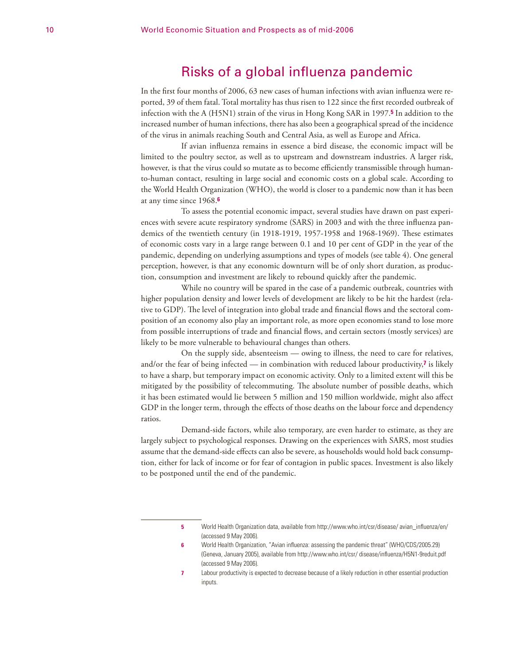### Risks of a global influenza pandemic

In the first four months of 2006, 63 new cases of human infections with avian influenza were reported, 39 of them fatal. Total mortality has thus risen to 122 since the first recorded outbreak of infection with the A (H5N1) strain of the virus in Hong Kong SAR in 1997.**5** In addition to the increased number of human infections, there has also been a geographical spread of the incidence of the virus in animals reaching South and Central Asia, as well as Europe and Africa.

If avian influenza remains in essence a bird disease, the economic impact will be limited to the poultry sector, as well as to upstream and downstream industries. A larger risk, however, is that the virus could so mutate as to become efficiently transmissible through humanto-human contact, resulting in large social and economic costs on a global scale. According to the World Health Organization (WHO), the world is closer to a pandemic now than it has been at any time since 1968.**<sup>6</sup>**

To assess the potential economic impact, several studies have drawn on past experiences with severe acute respiratory syndrome (SARS) in 2003 and with the three influenza pandemics of the twentieth century (in 1918-1919, 1957-1958 and 1968-1969). These estimates of economic costs vary in a large range between 0.1 and 10 per cent of GDP in the year of the pandemic, depending on underlying assumptions and types of models (see table 4). One general perception, however, is that any economic downturn will be of only short duration, as production, consumption and investment are likely to rebound quickly after the pandemic.

While no country will be spared in the case of a pandemic outbreak, countries with higher population density and lower levels of development are likely to be hit the hardest (relative to GDP). The level of integration into global trade and financial flows and the sectoral composition of an economy also play an important role, as more open economies stand to lose more from possible interruptions of trade and financial flows, and certain sectors (mostly services) are likely to be more vulnerable to behavioural changes than others.

On the supply side, absenteeism — owing to illness, the need to care for relatives, and/or the fear of being infected — in combination with reduced labour productivity,**7** is likely to have a sharp, but temporary impact on economic activity. Only to a limited extent will this be mitigated by the possibility of telecommuting. The absolute number of possible deaths, which it has been estimated would lie between 5 million and 150 million worldwide, might also affect GDP in the longer term, through the effects of those deaths on the labour force and dependency ratios.

Demand-side factors, while also temporary, are even harder to estimate, as they are largely subject to psychological responses. Drawing on the experiences with SARS, most studies assume that the demand-side effects can also be severe, as households would hold back consumption, either for lack of income or for fear of contagion in public spaces. Investment is also likely to be postponed until the end of the pandemic.

<sup>5</sup> World Health Organization data, available from http://www.who.int/csr/disease/ avian\_influenza/en/ (accessed 9 May 2006).

<sup>6</sup> World Health Organization, "Avian influenza: assessing the pandemic threat" (WHO/CDS/2005.29) (Geneva, January 2005), available from http://www.who.int/csr/ disease/influenza/H5N1-9reduit.pdf (accessed 9 May 2006).

**<sup>7</sup>** Labour productivity is expected to decrease because of a likely reduction in other essential production inputs.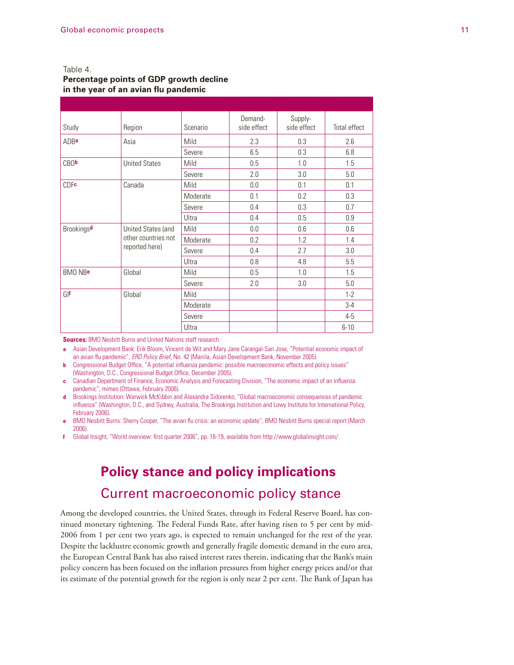#### Table 4.

#### **Percentage points of GDP growth decline**  in the year of an avian flu pandemic

| Study                  | Region               | Scenario | Demand-<br>side effect | Supply-<br>side effect | <b>Total effect</b> |
|------------------------|----------------------|----------|------------------------|------------------------|---------------------|
| ADBa                   | Asia                 | Mild     | 2.3                    | 0.3                    | 2.6                 |
|                        |                      | Severe   | 6.5                    | 0.3                    | 6.8                 |
| <b>CBOb</b>            | <b>United States</b> | Mild     | 0.5                    | 1.0                    | 1.5                 |
|                        |                      | Severe   | 2.0                    | 3.0                    | 5.0                 |
| <b>CDFc</b>            | Canada               | Mild     | 0.0                    | 0.1                    | 0.1                 |
|                        |                      | Moderate | 0.1                    | 0.2                    | 0.3                 |
|                        |                      | Severe   | 0.4                    | 0.3                    | 0.7                 |
|                        |                      | Ultra    | 0.4                    | 0.5                    | 0.9                 |
| Brookings <sup>d</sup> | United States (and   | Mild     | 0.0                    | 0.6                    | 0.6                 |
|                        | other countries not  | Moderate | 0.2                    | 1.2                    | 1.4                 |
|                        | reported here)       | Severe   | 0.4                    | 2.7                    | 3.0                 |
|                        |                      | Ultra    | 0.8                    | 4.8                    | 5.5                 |
| <b>BMO NBe</b>         | Global               | Mild     | 0.5                    | 1.0                    | 1.5                 |
|                        |                      | Severe   | 2.0                    | 3.0                    | 5.0                 |
| Glf                    | Global               | Mild     |                        |                        | $1 - 2$             |
|                        |                      | Moderate |                        |                        | $3-4$               |
|                        |                      | Severe   |                        |                        | $4 - 5$             |
|                        |                      | Ultra    |                        |                        | $6 - 10$            |

**Sources:** BMO Nesbitt Burns and United Nations staff research.

- **a** Asian Development Bank: Erik Bloom, Vincent de Wit and Mary Jane Carangal-San Jose, "Potential economic impact of an avian flu pandemic", *ERD Policy Brief*, No. 42 (Manila, Asian Development Bank, November 2005).
- **b** Congressional Budget Office, "A potential influenza pandemic: possible macroeconomic effects and policy issues" (Washington, D.C., Congressional Budget Office, December 2005).
- **c** Canadian Department of Finance, Economic Analysis and Forecasting Division, "The economic impact of an influenza pandemic", mimeo (Ottawa, February 2006).
- **d** Brookings Institution: Warwick McKibbin and Alexandra Sidorenko, "Global macroeconomic consequences of pandemic influenza" (Washington, D.C., and Sydney, Australia, The Brookings Institution and Lowy Institute for International Policy, February 2006).
- **BMO Nesbitt Burns: Sherry Cooper, "The avian flu crisis: an economic update", BMO Nesbitt Burns special report (March** 2006).
- **f** Global Insight, "World overview: first quarter 2006", pp. 16-19, available from http://www.globalinsight.com/.

## **Policy stance and policy implications** Current macroeconomic policy stance

Among the developed countries, the United States, through its Federal Reserve Board, has continued monetary tightening. The Federal Funds Rate, after having risen to 5 per cent by mid-2006 from 1 per cent two years ago, is expected to remain unchanged for the rest of the year. Despite the lacklustre economic growth and generally fragile domestic demand in the euro area, the European Central Bank has also raised interest rates therein, indicating that the Bank's main policy concern has been focused on the inflation pressures from higher energy prices and/or that its estimate of the potential growth for the region is only near 2 per cent. The Bank of Japan has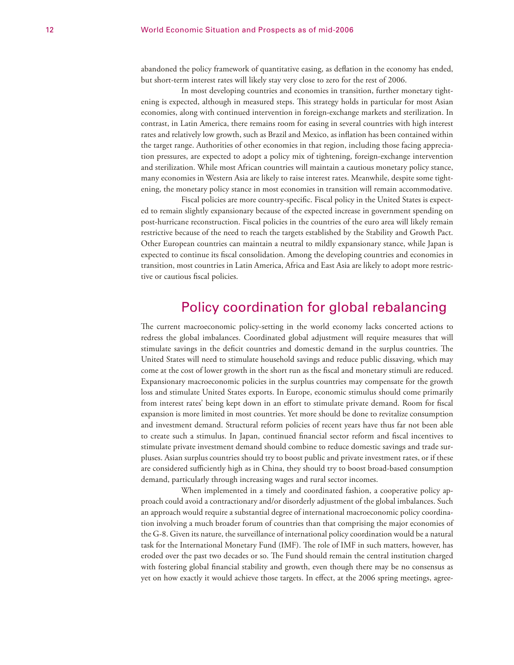abandoned the policy framework of quantitative easing, as deflation in the economy has ended, but short-term interest rates will likely stay very close to zero for the rest of 2006.

In most developing countries and economies in transition, further monetary tightening is expected, although in measured steps. This strategy holds in particular for most Asian economies, along with continued intervention in foreign-exchange markets and sterilization. In contrast, in Latin America, there remains room for easing in several countries with high interest rates and relatively low growth, such as Brazil and Mexico, as inflation has been contained within the target range. Authorities of other economies in that region, including those facing appreciation pressures, are expected to adopt a policy mix of tightening, foreign-exchange intervention and sterilization. While most African countries will maintain a cautious monetary policy stance, many economies in Western Asia are likely to raise interest rates. Meanwhile, despite some tightening, the monetary policy stance in most economies in transition will remain accommodative.

Fiscal policies are more country-specific. Fiscal policy in the United States is expected to remain slightly expansionary because of the expected increase in government spending on post-hurricane reconstruction. Fiscal policies in the countries of the euro area will likely remain restrictive because of the need to reach the targets established by the Stability and Growth Pact. Other European countries can maintain a neutral to mildly expansionary stance, while Japan is expected to continue its fiscal consolidation. Among the developing countries and economies in transition, most countries in Latin America, Africa and East Asia are likely to adopt more restrictive or cautious fiscal policies.

## Policy coordination for global rebalancing

The current macroeconomic policy-setting in the world economy lacks concerted actions to redress the global imbalances. Coordinated global adjustment will require measures that will stimulate savings in the deficit countries and domestic demand in the surplus countries. The United States will need to stimulate household savings and reduce public dissaving, which may come at the cost of lower growth in the short run as the fiscal and monetary stimuli are reduced. Expansionary macroeconomic policies in the surplus countries may compensate for the growth loss and stimulate United States exports. In Europe, economic stimulus should come primarily from interest rates' being kept down in an effort to stimulate private demand. Room for fiscal expansion is more limited in most countries. Yet more should be done to revitalize consumption and investment demand. Structural reform policies of recent years have thus far not been able to create such a stimulus. In Japan, continued financial sector reform and fiscal incentives to stimulate private investment demand should combine to reduce domestic savings and trade surpluses. Asian surplus countries should try to boost public and private investment rates, or if these are considered sufficiently high as in China, they should try to boost broad-based consumption demand, particularly through increasing wages and rural sector incomes.

When implemented in a timely and coordinated fashion, a cooperative policy approach could avoid a contractionary and/or disorderly adjustment of the global imbalances. Such an approach would require a substantial degree of international macroeconomic policy coordination involving a much broader forum of countries than that comprising the major economies of the G-8. Given its nature, the surveillance of international policy coordination would be a natural task for the International Monetary Fund (IMF). The role of IMF in such matters, however, has eroded over the past two decades or so. The Fund should remain the central institution charged with fostering global financial stability and growth, even though there may be no consensus as yet on how exactly it would achieve those targets. In effect, at the 2006 spring meetings, agree-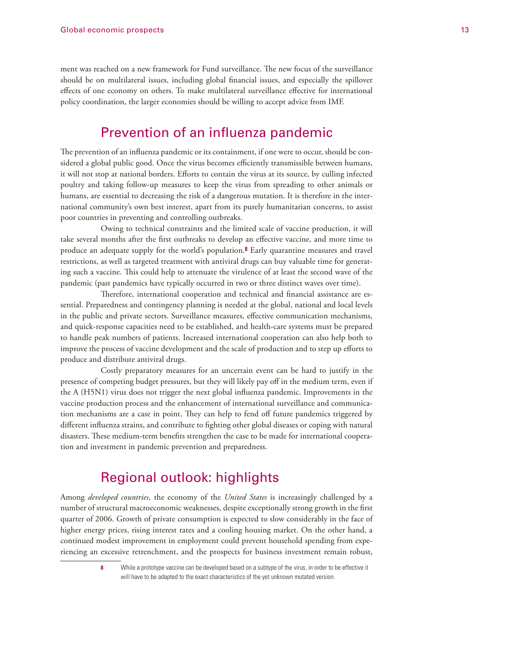#### ment was reached on a new framework for Fund surveillance. The new focus of the surveillance should be on multilateral issues, including global financial issues, and especially the spillover effects of one economy on others. To make multilateral surveillance effective for international policy coordination, the larger economies should be willing to accept advice from IMF.

## Prevention of an influenza pandemic

The prevention of an influenza pandemic or its containment, if one were to occur, should be considered a global public good. Once the virus becomes efficiently transmissible between humans, it will not stop at national borders. Efforts to contain the virus at its source, by culling infected poultry and taking follow-up measures to keep the virus from spreading to other animals or humans, are essential to decreasing the risk of a dangerous mutation. It is therefore in the international community's own best interest, apart from its purely humanitarian concerns, to assist poor countries in preventing and controlling outbreaks.

Owing to technical constraints and the limited scale of vaccine production, it will take several months after the first outbreaks to develop an effective vaccine, and more time to produce an adequate supply for the world's population.**8** Early quarantine measures and travel restrictions, as well as targeted treatment with antiviral drugs can buy valuable time for generating such a vaccine. This could help to attenuate the virulence of at least the second wave of the pandemic (past pandemics have typically occurred in two or three distinct waves over time).

Therefore, international cooperation and technical and financial assistance are essential. Preparedness and contingency planning is needed at the global, national and local levels in the public and private sectors. Surveillance measures, effective communication mechanisms, and quick-response capacities need to be established, and health-care systems must be prepared to handle peak numbers of patients. Increased international cooperation can also help both to improve the process of vaccine development and the scale of production and to step up efforts to produce and distribute antiviral drugs.

Costly preparatory measures for an uncertain event can be hard to justify in the presence of competing budget pressures, but they will likely pay off in the medium term, even if the A (H5N1) virus does not trigger the next global influenza pandemic. Improvements in the vaccine production process and the enhancement of international surveillance and communication mechanisms are a case in point. They can help to fend off future pandemics triggered by different influenza strains, and contribute to fighting other global diseases or coping with natural disasters. These medium-term benefits strengthen the case to be made for international cooperation and investment in pandemic prevention and preparedness.

## Regional outlook: highlights

Among *developed countries*, the economy of the *United States* is increasingly challenged by a number of structural macroeconomic weaknesses, despite exceptionally strong growth in the first quarter of 2006. Growth of private consumption is expected to slow considerably in the face of higher energy prices, rising interest rates and a cooling housing market. On the other hand, a continued modest improvement in employment could prevent household spending from experiencing an excessive retrenchment, and the prospects for business investment remain robust,

**<sup>8</sup>** While a prototype vaccine can be developed based on a subtype of the virus, in order to be effective it will have to be adapted to the exact characteristics of the yet unknown mutated version.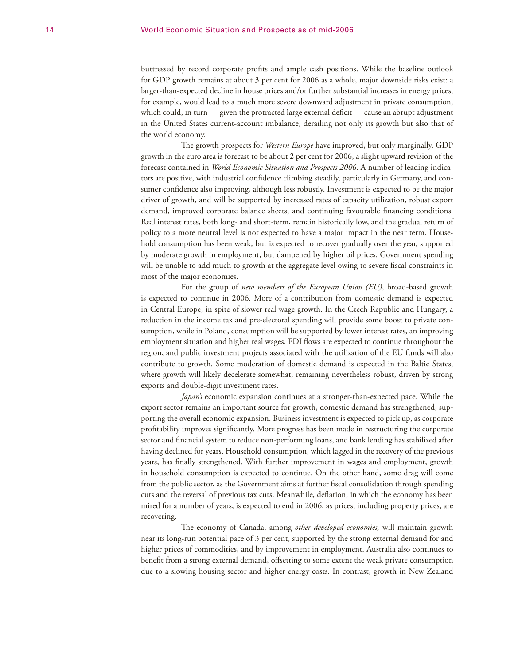buttressed by record corporate profits and ample cash positions. While the baseline outlook for GDP growth remains at about 3 per cent for 2006 as a whole, major downside risks exist: a larger-than-expected decline in house prices and/or further substantial increases in energy prices, for example, would lead to a much more severe downward adjustment in private consumption, which could, in turn  $\frac{1}{2}$  given the protracted large external deficit  $\frac{1}{2}$  cause an abrupt adjustment in the United States current-account imbalance, derailing not only its growth but also that of the world economy.

The growth prospects for *Western Europe* have improved, but only marginally. GDP growth in the euro area is forecast to be about 2 per cent for 2006, a slight upward revision of the forecast contained in *World Economic Situation and Prospects 2006*. A number of leading indicators are positive, with industrial confidence climbing steadily, particularly in Germany, and consumer confidence also improving, although less robustly. Investment is expected to be the major driver of growth, and will be supported by increased rates of capacity utilization, robust export demand, improved corporate balance sheets, and continuing favourable financing conditions. Real interest rates, both long- and short-term, remain historically low, and the gradual return of policy to a more neutral level is not expected to have a major impact in the near term. Household consumption has been weak, but is expected to recover gradually over the year, supported by moderate growth in employment, but dampened by higher oil prices. Government spending will be unable to add much to growth at the aggregate level owing to severe fiscal constraints in most of the major economies.

For the group of *new members of the European Union (EU)*, broad-based growth is expected to continue in 2006. More of a contribution from domestic demand is expected in Central Europe, in spite of slower real wage growth. In the Czech Republic and Hungary, a reduction in the income tax and pre-electoral spending will provide some boost to private consumption, while in Poland, consumption will be supported by lower interest rates, an improving employment situation and higher real wages. FDI flows are expected to continue throughout the region, and public investment projects associated with the utilization of the EU funds will also contribute to growth. Some moderation of domestic demand is expected in the Baltic States, where growth will likely decelerate somewhat, remaining nevertheless robust, driven by strong exports and double-digit investment rates.

*Japan's* economic expansion continues at a stronger-than-expected pace. While the export sector remains an important source for growth, domestic demand has strengthened, supporting the overall economic expansion. Business investment is expected to pick up, as corporate profitability improves significantly. More progress has been made in restructuring the corporate sector and financial system to reduce non-performing loans, and bank lending has stabilized after having declined for years. Household consumption, which lagged in the recovery of the previous years, has finally strengthened. With further improvement in wages and employment, growth in household consumption is expected to continue. On the other hand, some drag will come from the public sector, as the Government aims at further fiscal consolidation through spending cuts and the reversal of previous tax cuts. Meanwhile, deflation, in which the economy has been mired for a number of years, is expected to end in 2006, as prices, including property prices, are recovering.

The economy of Canada, among *other developed economies*, will maintain growth near its long-run potential pace of 3 per cent, supported by the strong external demand for and higher prices of commodities, and by improvement in employment. Australia also continues to benefit from a strong external demand, offsetting to some extent the weak private consumption due to a slowing housing sector and higher energy costs. In contrast, growth in New Zealand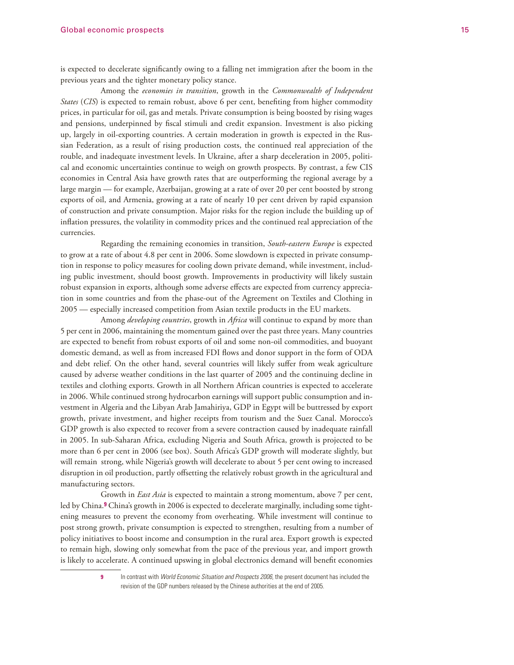is expected to decelerate significantly owing to a falling net immigration after the boom in the previous years and the tighter monetary policy stance.

Among the *economies in transition*, growth in the *Commonwealth of Independent States* (*CIS*) is expected to remain robust, above 6 per cent, benefiting from higher commodity prices, in particular for oil, gas and metals. Private consumption is being boosted by rising wages and pensions, underpinned by fiscal stimuli and credit expansion. Investment is also picking up, largely in oil-exporting countries. A certain moderation in growth is expected in the Russian Federation, as a result of rising production costs, the continued real appreciation of the rouble, and inadequate investment levels. In Ukraine, after a sharp deceleration in 2005, political and economic uncertainties continue to weigh on growth prospects. By contrast, a few CIS economies in Central Asia have growth rates that are outperforming the regional average by a large margin — for example, Azerbaijan, growing at a rate of over 20 per cent boosted by strong exports of oil, and Armenia, growing at a rate of nearly 10 per cent driven by rapid expansion of construction and private consumption. Major risks for the region include the building up of inflation pressures, the volatility in commodity prices and the continued real appreciation of the currencies.

Regarding the remaining economies in transition, *South-eastern Europe* is expected to grow at a rate of about 4.8 per cent in 2006. Some slowdown is expected in private consumption in response to policy measures for cooling down private demand, while investment, including public investment, should boost growth. Improvements in productivity will likely sustain robust expansion in exports, although some adverse effects are expected from currency appreciation in some countries and from the phase-out of the Agreement on Textiles and Clothing in 2005 — especially increased competition from Asian textile products in the EU markets.

Among *developing countries*, growth in *Africa* will continue to expand by more than 5 per cent in 2006, maintaining the momentum gained over the past three years. Many countries are expected to benefit from robust exports of oil and some non-oil commodities, and buoyant domestic demand, as well as from increased FDI flows and donor support in the form of ODA and debt relief. On the other hand, several countries will likely suffer from weak agriculture caused by adverse weather conditions in the last quarter of 2005 and the continuing decline in textiles and clothing exports. Growth in all Northern African countries is expected to accelerate in 2006. While continued strong hydrocarbon earnings will support public consumption and investment in Algeria and the Libyan Arab Jamahiriya, GDP in Egypt will be buttressed by export growth, private investment, and higher receipts from tourism and the Suez Canal. Morocco's GDP growth is also expected to recover from a severe contraction caused by inadequate rainfall in 2005. In sub-Saharan Africa, excluding Nigeria and South Africa, growth is projected to be more than 6 per cent in 2006 (see box). South Africa's GDP growth will moderate slightly, but will remain strong, while Nigeria's growth will decelerate to about 5 per cent owing to increased disruption in oil production, partly offsetting the relatively robust growth in the agricultural and manufacturing sectors.

Growth in *East Asia* is expected to maintain a strong momentum, above 7 per cent, led by China.**9** China's growth in 2006 is expected to decelerate marginally, including some tightening measures to prevent the economy from overheating. While investment will continue to post strong growth, private consumption is expected to strengthen, resulting from a number of policy initiatives to boost income and consumption in the rural area. Export growth is expected to remain high, slowing only somewhat from the pace of the previous year, and import growth is likely to accelerate. A continued upswing in global electronics demand will benefit economies

**<sup>9</sup>** In contrast with *World Economic Situation and Prospects 2006*, the present document has included the revision of the GDP numbers released by the Chinese authorities at the end of 2005.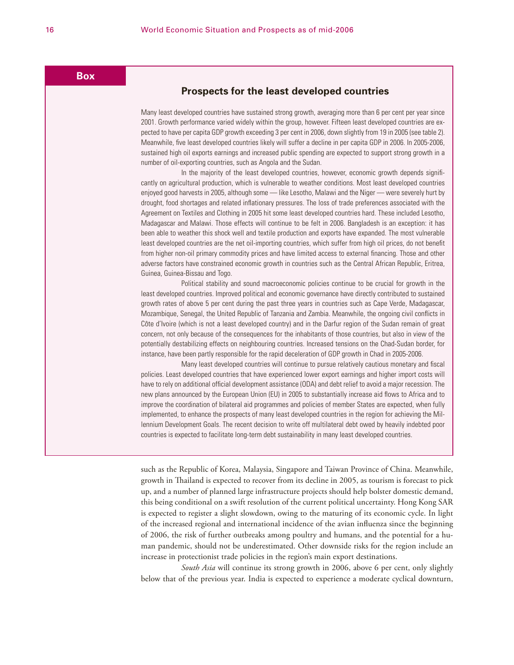#### **Box**

#### **Prospects for the least developed countries**

Many least developed countries have sustained strong growth, averaging more than 6 per cent per year since 2001. Growth performance varied widely within the group, however. Fifteen least developed countries are expected to have per capita GDP growth exceeding 3 per cent in 2006, down slightly from 19 in 2005 (see table 2). Meanwhile, five least developed countries likely will suffer a decline in per capita GDP in 2006. In 2005-2006, sustained high oil exports earnings and increased public spending are expected to support strong growth in a number of oil-exporting countries, such as Angola and the Sudan.

In the majority of the least developed countries, however, economic growth depends significantly on agricultural production, which is vulnerable to weather conditions. Most least developed countries enjoyed good harvests in 2005, although some — like Lesotho, Malawi and the Niger — were severely hurt by drought, food shortages and related inflationary pressures. The loss of trade preferences associated with the Agreement on Textiles and Clothing in 2005 hit some least developed countries hard. These included Lesotho, Madagascar and Malawi. Those effects will continue to be felt in 2006. Bangladesh is an exception: it has been able to weather this shock well and textile production and exports have expanded. The most vulnerable least developed countries are the net oil-importing countries, which suffer from high oil prices, do not benefit from higher non-oil primary commodity prices and have limited access to external financing. Those and other adverse factors have constrained economic growth in countries such as the Central African Republic, Eritrea, Guinea, Guinea-Bissau and Togo.

Political stability and sound macroeconomic policies continue to be crucial for growth in the least developed countries. Improved political and economic governance have directly contributed to sustained growth rates of above 5 per cent during the past three years in countries such as Cape Verde, Madagascar, Mozambique, Senegal, the United Republic of Tanzania and Zambia. Meanwhile, the ongoing civil conflicts in Côte d'Ivoire (which is not a least developed country) and in the Darfur region of the Sudan remain of great concern, not only because of the consequences for the inhabitants of those countries, but also in view of the potentially destabilizing effects on neighbouring countries. Increased tensions on the Chad-Sudan border, for instance, have been partly responsible for the rapid deceleration of GDP growth in Chad in 2005-2006.

Many least developed countries will continue to pursue relatively cautious monetary and fiscal policies. Least developed countries that have experienced lower export earnings and higher import costs will have to rely on additional official development assistance (ODA) and debt relief to avoid a major recession. The new plans announced by the European Union (EU) in 2005 to substantially increase aid flows to Africa and to improve the coordination of bilateral aid programmes and policies of member States are expected, when fully implemented, to enhance the prospects of many least developed countries in the region for achieving the Millennium Development Goals. The recent decision to write off multilateral debt owed by heavily indebted poor countries is expected to facilitate long-term debt sustainability in many least developed countries.

such as the Republic of Korea, Malaysia, Singapore and Taiwan Province of China. Meanwhile, growth in Thailand is expected to recover from its decline in 2005, as tourism is forecast to pick up, and a number of planned large infrastructure projects should help bolster domestic demand, this being conditional on a swift resolution of the current political uncertainty. Hong Kong SAR is expected to register a slight slowdown, owing to the maturing of its economic cycle. In light of the increased regional and international incidence of the avian influenza since the beginning of 2006, the risk of further outbreaks among poultry and humans, and the potential for a human pandemic, should not be underestimated. Other downside risks for the region include an increase in protectionist trade policies in the region's main export destinations.

*South Asia* will continue its strong growth in 2006, above 6 per cent, only slightly below that of the previous year. India is expected to experience a moderate cyclical downturn,